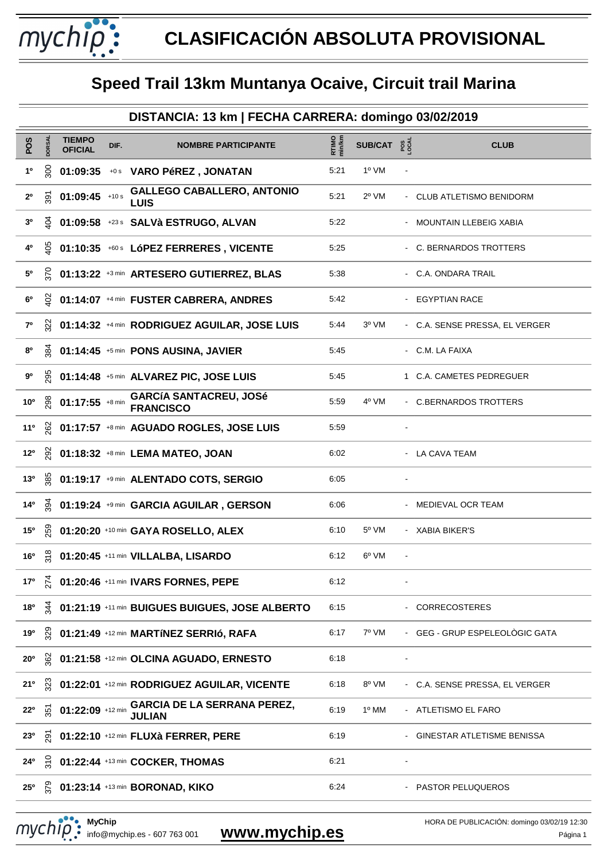mychip:

|                 | DISTANCIA: 13 km   FECHA CARRERA: domingo 03/02/2019 |                                 |      |                                                      |                 |                         |  |                                |  |  |
|-----------------|------------------------------------------------------|---------------------------------|------|------------------------------------------------------|-----------------|-------------------------|--|--------------------------------|--|--|
| POS             | <b>DORSAL</b>                                        | <b>TIEMPO</b><br><b>OFICIAL</b> | DIF. | <b>NOMBRE PARTICIPANTE</b>                           | RTIMO<br>min/km | SUB/CAT $2\overline{5}$ |  | <b>CLUB</b>                    |  |  |
| 1 <sup>0</sup>  | SOC                                                  |                                 |      | 01:09:35 +0s VARO PéREZ, JONATAN                     | 5:21            | 1º VM                   |  |                                |  |  |
| 2 <sup>0</sup>  | δş                                                   | $01:09:45$ +10 s                |      | <b>GALLEGO CABALLERO, ANTONIO</b><br><b>LUIS</b>     | 5:21            | $2^{\circ}$ VM          |  | - CLUB ATLETISMO BENIDORM      |  |  |
| 3 <sup>o</sup>  | $\vec{5}$                                            |                                 |      | 01:09:58 +23s SALVà ESTRUGO, ALVAN                   | 5:22            |                         |  | - MOUNTAIN LLEBEIG XABIA       |  |  |
| 4º              | 8q                                                   |                                 |      | 01:10:35 +60s LóPEZ FERRERES, VICENTE                | 5:25            |                         |  | - C. BERNARDOS TROTTERS        |  |  |
| 50              | $\tilde{\mathbf{z}}$                                 |                                 |      | 01:13:22 +3 min ARTESERO GUTIERREZ, BLAS             | 5:38            |                         |  | - C.A. ONDARA TRAIL            |  |  |
| 6°              | ਕੁ                                                   |                                 |      | 01:14:07 +4 min FUSTER CABRERA, ANDRES               | 5:42            |                         |  | - EGYPTIAN RACE                |  |  |
| $7^{\circ}$     | $\tilde{\mathbf{z}}$                                 |                                 |      | 01:14:32 +4 min RODRIGUEZ AGUILAR, JOSE LUIS         | 5:44            | $3^{\circ}$ VM          |  | - C.A. SENSE PRESSA, EL VERGER |  |  |
| 80              | 384                                                  |                                 |      | 01:14:45 +5 min PONS AUSINA, JAVIER                  | 5:45            |                         |  | - C.M. LA FAIXA                |  |  |
| 90              | 295                                                  |                                 |      | 01:14:48 +5 min ALVAREZ PIC, JOSE LUIS               | 5:45            |                         |  | 1 C.A. CAMETES PEDREGUER       |  |  |
| 10 <sup>o</sup> | 298                                                  | $01:17:55$ +8 min               |      | <b>GARCÍA SANTACREU, JOSé</b><br><b>FRANCISCO</b>    | 5:59            | 4º VM                   |  | - C.BERNARDOS TROTTERS         |  |  |
| 11 <sup>0</sup> | 382                                                  |                                 |      | 01:17:57 +8 min AGUADO ROGLES, JOSE LUIS             | 5:59            |                         |  |                                |  |  |
| $12^{\circ}$    | <u>92</u>                                            |                                 |      | 01:18:32 +8 min LEMA MATEO, JOAN                     | 6:02            |                         |  | - LA CAVA TEAM                 |  |  |
| 13 <sup>o</sup> | 85                                                   |                                 |      | 01:19:17 +9 min ALENTADO COTS, SERGIO                | 6:05            |                         |  |                                |  |  |
| 14 <sup>°</sup> | $\widetilde{\mathcal{Z}}$                            |                                 |      | 01:19:24 +9 min GARCIA AGUILAR, GERSON               | 6:06            |                         |  | - MEDIEVAL OCR TEAM            |  |  |
| 15 <sup>o</sup> | 259                                                  |                                 |      | 01:20:20 +10 min GAYA ROSELLO, ALEX                  | 6:10            | $5^{\circ}$ VM          |  | - XABIA BIKER'S                |  |  |
| 16 <sup>o</sup> | $\frac{8}{2}$                                        |                                 |      | 01:20:45 +11 min VILLALBA, LISARDO                   | 6:12            | 6 <sup>o</sup> VM       |  |                                |  |  |
| 17°             |                                                      |                                 |      | $\sum_{k=1}^{4}$ 01:20:46 +11 min IVARS FORNES, PEPE | 6:12            |                         |  |                                |  |  |
| 18 <sup>o</sup> | $\tilde{A}$                                          |                                 |      | 01:21:19 +11 min BUIGUES BUIGUES, JOSE ALBERTO       | 6:15            |                         |  | - CORRECOSTERES                |  |  |
| 19°             | <u>ន្</u>                                            |                                 |      | 01:21:49 +12 min MARTÍNEZ SERRIÓ, RAFA               | 6:17            | 7º VM                   |  | - GEG - GRUP ESPELEOLÒGIC GATA |  |  |
| $20^{\circ}$    | ୁଷ                                                   |                                 |      | 01:21:58 +12 min OLCINA AGUADO, ERNESTO              | 6:18            |                         |  |                                |  |  |
| 21°             | ដ្ឋ                                                  |                                 |      | 01:22:01 +12 min RODRIGUEZ AGUILAR, VICENTE          | 6:18            | 8º VM                   |  | - C.A. SENSE PRESSA, EL VERGER |  |  |
| $22^{\circ}$    | $\frac{5}{25}$                                       | $01:22:09$ +12 min              |      | <b>GARCIA DE LA SERRANA PEREZ,</b><br><b>JULIAN</b>  | 6:19            | 1º MM                   |  | - ATLETISMO EL FARO            |  |  |
| 23 <sup>0</sup> | ò.                                                   |                                 |      | 01:22:10 +12 min FLUXà FERRER, PERE                  | 6:19            |                         |  | GINESTAR ATLETISME BENISSA     |  |  |
| 24°             | $\frac{5}{2}$                                        |                                 |      | 01:22:44 +13 min COCKER, THOMAS                      | 6:21            |                         |  |                                |  |  |
| $25^{\circ}$    | 37S                                                  |                                 |      | 01:23:14 +13 min BORONAD, KIKO                       | 6:24            |                         |  | - PASTOR PELUQUEROS            |  |  |
|                 |                                                      |                                 |      |                                                      |                 |                         |  |                                |  |  |

**MyChip** MyChip<br>
info@mychip.es - 607 763 001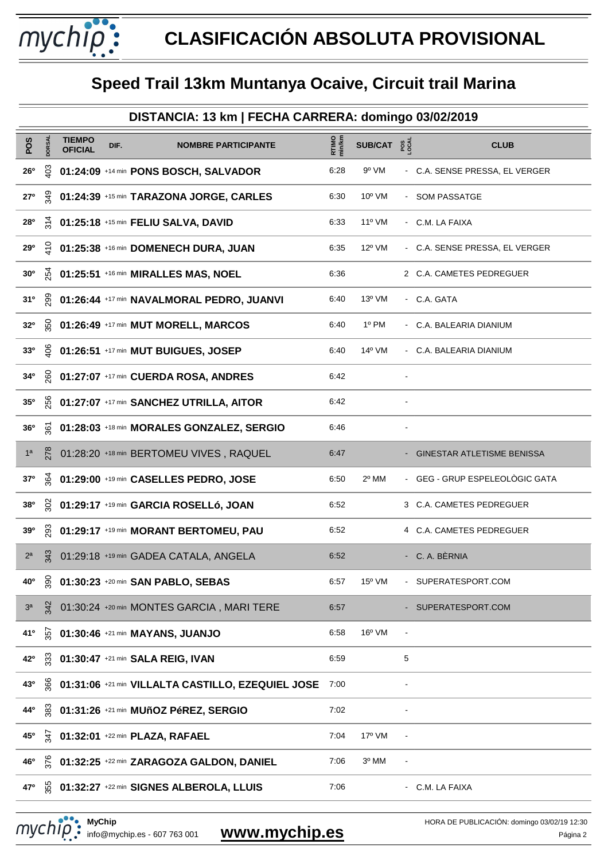mychip:

|                 | DISTANCIA: 13 km   FECHA CARRERA: domingo 03/02/2019 |                                 |      |                                                   |                 |                                     |   |                                |  |  |
|-----------------|------------------------------------------------------|---------------------------------|------|---------------------------------------------------|-----------------|-------------------------------------|---|--------------------------------|--|--|
| POS             | DORSAL                                               | <b>TIEMPO</b><br><b>OFICIAL</b> | DIF. | <b>NOMBRE PARTICIPANTE</b>                        | RTIMO<br>min/km | SUB/CAT $\frac{8}{5}$ $\frac{8}{5}$ |   | <b>CLUB</b>                    |  |  |
| $26^{\circ}$    | Sol                                                  |                                 |      | 01:24:09 +14 min PONS BOSCH, SALVADOR             | 6:28            | 9º VM                               |   | - C.A. SENSE PRESSA, EL VERGER |  |  |
| 27°             | ă                                                    |                                 |      | 01:24:39 +15 min TARAZONA JORGE, CARLES           | 6:30            | $10^{\circ}$ VM                     |   | - SOM PASSATGE                 |  |  |
| <b>28°</b>      | $\frac{4}{3}$                                        |                                 |      | 01:25:18 +15 min FELIU SALVA, DAVID               | 6:33            | $11^{\circ}$ VM                     |   | - C.M. LA FAIXA                |  |  |
| 29°             | $\frac{5}{2}$                                        |                                 |      | 01:25:38 +16 min DOMENECH DURA, JUAN              | 6:35            | $12^{\circ}$ VM                     |   | - C.A. SENSE PRESSA, EL VERGER |  |  |
| 30 <sup>o</sup> | $\tilde{R}$                                          |                                 |      | 01:25:51 +16 min MIRALLES MAS, NOEL               | 6:36            |                                     |   | 2 C.A. CAMETES PEDREGUER       |  |  |
| 31 <sup>0</sup> | 28                                                   |                                 |      | 01:26:44 +17 min NAVALMORAL PEDRO, JUANVI         | 6:40            | 13º VM                              |   | - C.A. GATA                    |  |  |
| 32 <sup>o</sup> | 350                                                  |                                 |      | 01:26:49 +17 min MUT MORELL, MARCOS               | 6:40            | 1º PM                               |   | - C.A. BALEARIA DIANIUM        |  |  |
| 33 <sup>0</sup> | ି କ                                                  |                                 |      | 01:26:51 +17 min MUT BUIGUES, JOSEP               | 6:40            | 14 <sup>o</sup> VM                  |   | - C.A. BALEARIA DIANIUM        |  |  |
| 34°             | <u>.eo</u>                                           |                                 |      | 01:27:07 +17 min CUERDA ROSA, ANDRES              | 6:42            |                                     |   |                                |  |  |
| 35 <sup>o</sup> | 99                                                   |                                 |      | 01:27:07 +17 min SANCHEZ UTRILLA, AITOR           | 6:42            |                                     |   |                                |  |  |
| 36 <sup>o</sup> | ଟ୍ଲ                                                  |                                 |      | 01:28:03 +18 min MORALES GONZALEZ, SERGIO         | 6:46            |                                     |   |                                |  |  |
| 1 <sup>a</sup>  | 278                                                  |                                 |      | 01:28:20 +18 min BERTOMEU VIVES, RAQUEL           | 6:47            |                                     |   | - GINESTAR ATLETISME BENISSA   |  |  |
| 37 <sup>o</sup> | উ                                                    |                                 |      | 01:29:00 +19 min CASELLES PEDRO, JOSE             | 6:50            | 2º MM                               |   | - GEG - GRUP ESPELEOLÒGIC GATA |  |  |
| 380             | $\frac{5}{2}$                                        |                                 |      | 01:29:17 +19 min GARCIA ROSELLÓ, JOAN             | 6:52            |                                     |   | 3 C.A. CAMETES PEDREGUER       |  |  |
| 39°             | 293                                                  |                                 |      | 01:29:17 +19 min MORANT BERTOMEU, PAU             | 6:52            |                                     |   | 4 C.A. CAMETES PEDREGUER       |  |  |
| 2 <sup>a</sup>  | 343                                                  |                                 |      | 01:29:18 +19 min GADEA CATALA, ANGELA             | 6:52            |                                     |   | - C. A. BÈRNIA                 |  |  |
| 40 <sup>o</sup> | ğ,                                                   |                                 |      | 01:30:23 +20 min SAN PABLO, SEBAS                 | 6:57            | $15^{\circ}$ VM                     |   | SUPERATESPORT.COM              |  |  |
| 3 <sup>a</sup>  | 342                                                  |                                 |      | 01:30:24 +20 min MONTES GARCIA, MARI TERE         | 6:57            |                                     |   | - SUPERATESPORT.COM            |  |  |
| 410             | 357                                                  |                                 |      | 01:30:46 +21 min MAYANS, JUANJO                   | 6:58            | $16^{\circ}$ VM                     |   |                                |  |  |
| 42°             | 33                                                   |                                 |      | 01:30:47 +21 min SALA REIG, IVAN                  | 6:59            |                                     | 5 |                                |  |  |
| 43°             | 366                                                  |                                 |      | 01:31:06 +21 min VILLALTA CASTILLO, EZEQUIEL JOSE | 7:00            |                                     |   |                                |  |  |
| 44°             | 383                                                  |                                 |      | 01:31:26 +21 min MUñOZ PéREZ, SERGIO              | 7:02            |                                     |   |                                |  |  |
| 45°             | ਕ਼                                                   |                                 |      | 01:32:01 +22 min PLAZA, RAFAEL                    | 7:04            | 17 <sup>o</sup> VM                  |   |                                |  |  |
| 46°             | řε                                                   |                                 |      | 01:32:25 +22 min ZARAGOZA GALDON, DANIEL          | 7:06            | 3º MM                               |   |                                |  |  |
| 47 <sup>o</sup> | 55                                                   |                                 |      | 01:32:27 +22 min SIGNES ALBEROLA, LLUIS           | 7:06            |                                     |   | - C.M. LA FAIXA                |  |  |

**MyChip** MyChip<br>
info@mychip.es - 607 763 001

my striper and the second term of the second term of the second term of the second term of the second term of the second term of the second term of the second term of the second term of the second term of the second term o HORA DE PUBLICACIÓN: domingo 03/02/19 12:30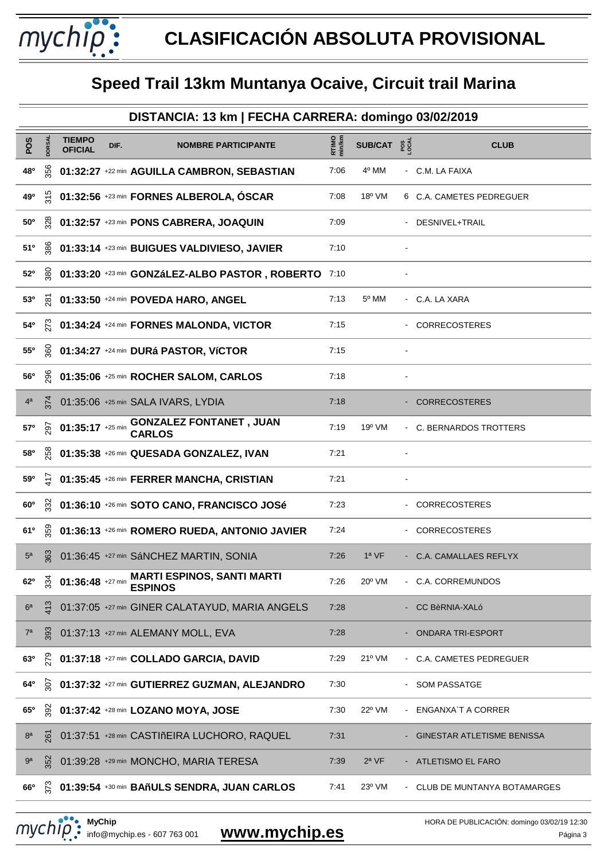mychip:

|                  | DISTANCIA: 13 km   FECHA CARRERA: domingo 03/02/2019 |                                 |      |                                                                      |                        |                        |  |                             |  |  |  |
|------------------|------------------------------------------------------|---------------------------------|------|----------------------------------------------------------------------|------------------------|------------------------|--|-----------------------------|--|--|--|
| POS              | DORSAL                                               | <b>TIEMPO</b><br><b>OFICIAL</b> | DIF. | <b>NOMBRE PARTICIPANTE</b>                                           | <b>RTIMO</b><br>min/km | SUB/CAT $2\frac{3}{8}$ |  | <b>CLUB</b>                 |  |  |  |
| 48 <sup>o</sup>  | 356                                                  |                                 |      | 01:32:27 +22 min AGUILLA CAMBRON, SEBASTIAN                          | 7:06                   | 4º MM                  |  | - C.M. LA FAIXA             |  |  |  |
| 49°              | $\frac{315}{5}$                                      |                                 |      | 01:32:56 +23 min FORNES ALBEROLA, ÓSCAR                              | 7:08                   | 18° VM                 |  | 6 C.A. CAMETES PEDREGUER    |  |  |  |
| $50^{\circ}$     | 328                                                  |                                 |      | 01:32:57 +23 min PONS CABRERA, JOAQUIN                               | 7:09                   |                        |  | - DESNIVEL+TRAIL            |  |  |  |
| 51°              | 386                                                  |                                 |      | 01:33:14 +23 min BUIGUES VALDIVIESO, JAVIER                          | 7:10                   |                        |  |                             |  |  |  |
| 52°              | 380                                                  |                                 |      | 01:33:20 +23 min GONZáLEZ-ALBO PASTOR, ROBERTO                       | 7:10                   |                        |  |                             |  |  |  |
| 53 <sup>o</sup>  | ଛ                                                    |                                 |      | 01:33:50 +24 min POVEDA HARO, ANGEL                                  | 7:13                   | 5º MM                  |  | - C.A. LA XARA              |  |  |  |
| 54°              | $\tilde{\kappa}$                                     |                                 |      | 01:34:24 +24 min FORNES MALONDA, VICTOR                              | 7:15                   |                        |  | - CORRECOSTERES             |  |  |  |
| 55°              | ଞୁ                                                   |                                 |      | 01:34:27 +24 min DURá PASTOR, VÍCTOR                                 | 7:15                   |                        |  |                             |  |  |  |
| <b>56°</b>       | <u>96</u>                                            |                                 |      | 01:35:06 +25 min ROCHER SALOM, CARLOS                                | 7:18                   |                        |  |                             |  |  |  |
| 4 <sup>a</sup>   | $\overline{\overline{374}}$                          |                                 |      | 01:35:06 +25 min SALA IVARS, LYDIA                                   | 7:18                   |                        |  | - CORRECOSTERES             |  |  |  |
| 57 <sup>o</sup>  | 297                                                  | $01:35:17$ +25 min              |      | <b>GONZALEZ FONTANET, JUAN</b><br><b>CARLOS</b>                      | 7:19                   | $19^{\circ}$ VM        |  | - C. BERNARDOS TROTTERS     |  |  |  |
| 58 <sup>o</sup>  | 258                                                  |                                 |      | 01:35:38 +26 min QUESADA GONZALEZ, IVAN                              | 7:21                   |                        |  |                             |  |  |  |
| 59°              | 도                                                    |                                 |      | 01:35:45 +26 min FERRER MANCHA, CRISTIAN                             | 7:21                   |                        |  |                             |  |  |  |
| $60^{\circ}$     | 332                                                  |                                 |      | 01:36:10 +26 min SOTO CANO, FRANCISCO JOSé                           | 7:23                   |                        |  | - CORRECOSTERES             |  |  |  |
| 61°              | 359                                                  |                                 |      | 01:36:13 +26 min ROMERO RUEDA, ANTONIO JAVIER                        | 7:24                   |                        |  | - CORRECOSTERES             |  |  |  |
| 5 <sup>a</sup>   | 363                                                  |                                 |      | 01:36:45 +27 min SáNCHEZ MARTIN, SONIA                               | 7:26                   | $1a$ VF                |  | - C.A. CAMALLAES REFLYX     |  |  |  |
| 62 <sup>o</sup>  | 334                                                  | 01:36:48 +27 min                |      | <b>MARTI ESPINOS, SANTI MARTI</b><br><b>ESPINOS</b>                  | 7:26                   | 20° VM                 |  | - C.A. CORREMUNDOS          |  |  |  |
| 6 <sup>a</sup>   | 413                                                  |                                 |      | 01:37:05 +27 min GINER CALATAYUD, MARIA ANGELS                       | 7:28                   |                        |  | CC BèRNIA-XALó              |  |  |  |
| $7^{\mathrm{a}}$ | 393                                                  |                                 |      | 01:37:13 +27 min ALEMANY MOLL, EVA                                   | 7:28                   |                        |  | <b>ONDARA TRI-ESPORT</b>    |  |  |  |
| 63 <sup>o</sup>  | 279                                                  |                                 |      | 01:37:18 +27 min COLLADO GARCIA, DAVID                               | 7:29                   | 21º VM                 |  | - C.A. CAMETES PEDREGUER    |  |  |  |
| 64°              | $\tilde{5}$                                          |                                 |      | 01:37:32 +27 min GUTIERREZ GUZMAN, ALEJANDRO                         | 7:30                   |                        |  | <b>SOM PASSATGE</b>         |  |  |  |
| 65 <sup>o</sup>  | 392                                                  |                                 |      | 01:37:42 +28 min LOZANO MOYA, JOSE                                   | 7:30                   | 22° VM                 |  | ENGANXA'T A CORRER          |  |  |  |
| 8 <sup>a</sup>   | 261                                                  |                                 |      | 01:37:51 +28 min CASTIñEIRA LUCHORO, RAQUEL                          | 7:31                   |                        |  | GINESTAR ATLETISME BENISSA  |  |  |  |
| 9 <sup>a</sup>   | 352                                                  |                                 |      | 01:39:28 +29 min MONCHO, MARIA TERESA                                | 7:39                   | $2^a$ VF               |  | <b>ATLETISMO EL FARO</b>    |  |  |  |
| $66^{\circ}$     |                                                      |                                 |      | $\stackrel{\circ}{\sim}$ 01:39:54 +30 min BAñULS SENDRA, JUAN CARLOS | 7:41                   | 23° VM                 |  | CLUB DE MUNTANYA BOTAMARGES |  |  |  |

**MyChip** MyChip<br>
info@mychip.es - 607 763 001

my striper and the contract of the stripe of the stripe of the stripe of the stripe of the stripe of the stripe of the stripe of the stripe of the stripe of the stripe of the stripe of the stripe of the stripe of the strip HORA DE PUBLICACIÓN: domingo 03/02/19 12:30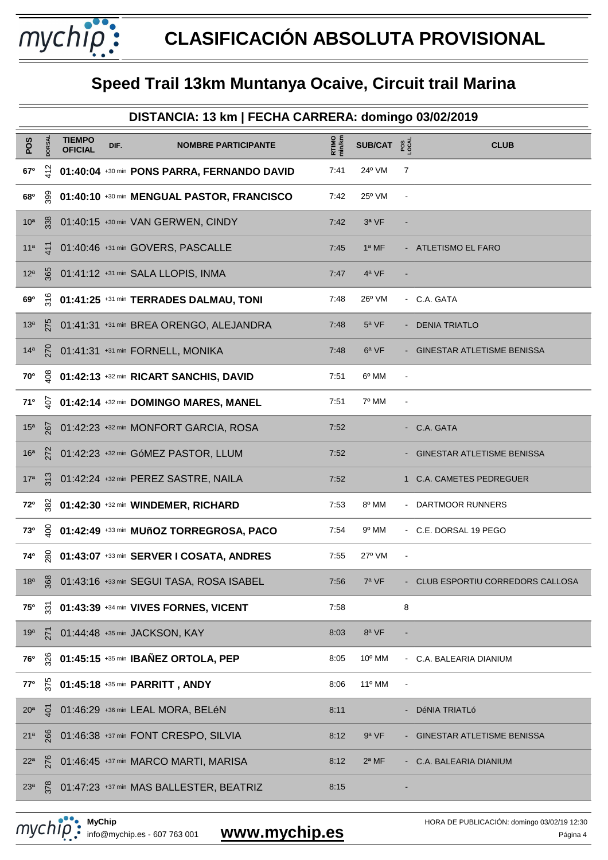mychip:

|                 | DISTANCIA: 13 km   FECHA CARRERA: domingo 03/02/2019 |                                 |      |                                             |                 |                        |                          |                                   |  |  |
|-----------------|------------------------------------------------------|---------------------------------|------|---------------------------------------------|-----------------|------------------------|--------------------------|-----------------------------------|--|--|
| POS             | <b>DORSAL</b>                                        | <b>TIEMPO</b><br><b>OFICIAL</b> | DIF. | <b>NOMBRE PARTICIPANTE</b>                  | RTIMO<br>min/km | SUB/CAT $2\frac{3}{2}$ |                          | <b>CLUB</b>                       |  |  |
| 67°             | $\frac{5}{2}$                                        |                                 |      | 01:40:04 +30 min PONS PARRA, FERNANDO DAVID | 7:41            | 24° VM                 | 7                        |                                   |  |  |
| 68 <sup>o</sup> | 399                                                  |                                 |      | 01:40:10 +30 min MENGUAL PASTOR, FRANCISCO  | 7:42            | $25^{\circ}$ VM        |                          |                                   |  |  |
| 10 <sup>a</sup> | 338                                                  |                                 |      | 01:40:15 +30 min VAN GERWEN, CINDY          | 7:42            | $3a$ VF                |                          |                                   |  |  |
| 11 <sup>a</sup> | $\tilde{t}$                                          |                                 |      | 01:40:46 +31 min GOVERS, PASCALLE           | 7:45            | $1a$ MF                |                          | - ATLETISMO EL FARO               |  |  |
| 12 <sup>a</sup> | 365                                                  |                                 |      | 01:41:12 +31 min SALA LLOPIS, INMA          | 7:47            | 4ª VF                  |                          |                                   |  |  |
| 69°             | $\frac{6}{3}$                                        |                                 |      | 01:41:25 +31 min TERRADES DALMAU, TONI      | 7:48            | 26° VM                 |                          | - C.A. GATA                       |  |  |
| 13 <sup>a</sup> | 275                                                  |                                 |      | 01:41:31 +31 min BREA ORENGO, ALEJANDRA     | 7:48            | $5^a$ VF               |                          | <b>DENIA TRIATLO</b>              |  |  |
| 14 <sup>a</sup> | <b>PZO</b>                                           |                                 |      | 01:41:31 +31 min FORNELL, MONIKA            | 7:48            | 6 <sup>a</sup> VF      |                          | GINESTAR ATLETISME BENISSA        |  |  |
| <b>70°</b>      | g                                                    |                                 |      | 01:42:13 +32 min RICART SANCHIS, DAVID      | 7:51            | 6º MM                  |                          |                                   |  |  |
| 710             | $\tilde{Q}$                                          |                                 |      | 01:42:14 +32 min DOMINGO MARES, MANEL       | 7:51            | 7º MM                  |                          |                                   |  |  |
| 15 <sup>a</sup> | <b>197</b>                                           |                                 |      | 01:42:23 +32 min MONFORT GARCIA, ROSA       | 7:52            |                        |                          | - C.A. GATA                       |  |  |
| 16 <sup>a</sup> | 272                                                  |                                 |      | 01:42:23 +32 min GóMEZ PASTOR, LLUM         | 7:52            |                        |                          | GINESTAR ATLETISME BENISSA        |  |  |
| 17 <sup>a</sup> | $\frac{313}{2}$                                      |                                 |      | 01:42:24 +32 min PEREZ SASTRE, NAILA        | 7:52            |                        |                          | 1 C.A. CAMETES PEDREGUER          |  |  |
| 72°             | 382                                                  |                                 |      | 01:42:30 +32 min WINDEMER, RICHARD          | 7:53            | 8º MM                  |                          | - DARTMOOR RUNNERS                |  |  |
| 730             | g                                                    |                                 |      | 01:42:49 +33 min MUñOZ TORREGROSA, PACO     | 7:54            | 9º MM                  |                          | - C.E. DORSAL 19 PEGO             |  |  |
| 74°             | $\frac{80}{20}$                                      |                                 |      | 01:43:07 +33 min SERVER I COSATA, ANDRES    | 7:55            | $27^{\circ}$ VM        | $\overline{\phantom{a}}$ |                                   |  |  |
| 18 <sup>a</sup> | 368                                                  |                                 |      | 01:43:16 +33 min SEGUI TASA, ROSA ISABEL    | 7:56            | 7ª VF                  |                          | - CLUB ESPORTIU CORREDORS CALLOSA |  |  |
| <b>75°</b>      | $\tilde{\mathbb{S}}$                                 |                                 |      | 01:43:39 +34 min VIVES FORNES, VICENT       | 7:58            |                        | 8                        |                                   |  |  |
| 19 <sup>a</sup> | 271                                                  |                                 |      | 01:44:48 +35 min JACKSON, KAY               | 8:03            | 8ª VF                  |                          |                                   |  |  |
| 76°             | 326                                                  |                                 |      | 01:45:15 +35 min IBAÑEZ ORTOLA, PEP         | 8:05            | 10° MM                 | $\sim$                   | C.A. BALEARIA DIANIUM             |  |  |
| 77°             | 375                                                  |                                 |      | 01:45:18 +35 min PARRITT, ANDY              | 8:06            | 11º MM                 |                          |                                   |  |  |
| 20 <sup>a</sup> | $\tilde{\mathcal{Q}}$                                |                                 |      | 01:46:29 +36 min LEAL MORA, BELéN           | 8:11            |                        |                          | DéNIA TRIATLó                     |  |  |
| 21 <sup>a</sup> | 266                                                  |                                 |      | 01:46:38 +37 min FONT CRESPO, SILVIA        | 8:12            | 9ª VF                  |                          | GINESTAR ATLETISME BENISSA        |  |  |
| 22 <sup>a</sup> | 276                                                  |                                 |      | 01:46:45 +37 min MARCO MARTI, MARISA        | 8:12            | $2a$ MF                |                          | C.A. BALEARIA DIANIUM             |  |  |
| 23 <sup>a</sup> | 378                                                  |                                 |      | 01:47:23 +37 min MAS BALLESTER, BEATRIZ     | 8:15            |                        |                          |                                   |  |  |

**MyChip** MyChip<br>
info@mychip.es - 607 763 001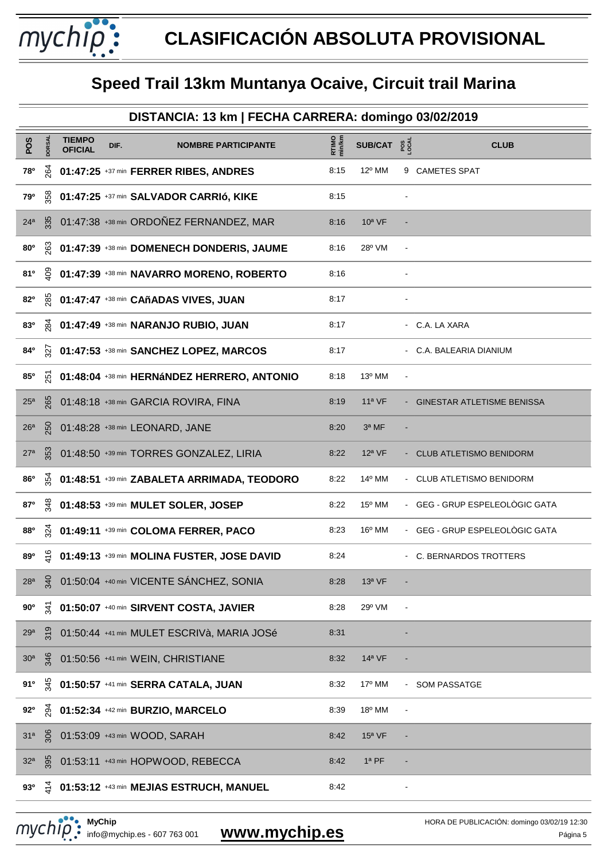mychip:

|                 | DISTANCIA: 13 km   FECHA CARRERA: domingo 03/02/2019 |                                 |      |                                             |                 |                        |                |                                |  |  |  |
|-----------------|------------------------------------------------------|---------------------------------|------|---------------------------------------------|-----------------|------------------------|----------------|--------------------------------|--|--|--|
| POS             | DORSAL                                               | <b>TIEMPO</b><br><b>OFICIAL</b> | DIF. | <b>NOMBRE PARTICIPANTE</b>                  | RTIMO<br>min/km | SUB/CAT $2\frac{8}{5}$ |                | <b>CLUB</b>                    |  |  |  |
| 78°             | 264                                                  |                                 |      | 01:47:25 +37 min FERRER RIBES, ANDRES       | 8:15            | 12º MM                 |                | 9 CAMETES SPAT                 |  |  |  |
| 79°             | 358                                                  |                                 |      | 01:47:25 +37 min SALVADOR CARRIÓ, KIKE      | 8:15            |                        |                |                                |  |  |  |
| 24 <sup>a</sup> | 335                                                  |                                 |      | 01:47:38 +38 min ORDOÑEZ FERNANDEZ, MAR     | 8:16            | $10a$ VF               |                |                                |  |  |  |
| 80 <sup>o</sup> | 263                                                  |                                 |      | 01:47:39 +38 min DOMENECH DONDERIS, JAUME   | 8:16            | 28° VM                 | $\blacksquare$ |                                |  |  |  |
| 81°             | <u>ទ្ទ</u>                                           |                                 |      | 01:47:39 +38 min NAVARRO MORENO, ROBERTO    | 8:16            |                        |                |                                |  |  |  |
| 82°             | <sub>285</sub>                                       |                                 |      | 01:47:47 +38 min CAñADAS VIVES, JUAN        | 8:17            |                        |                |                                |  |  |  |
| 830             | <u>ळ्</u>                                            |                                 |      | 01:47:49 +38 min NARANJO RUBIO, JUAN        | 8:17            |                        |                | - C.A. LA XARA                 |  |  |  |
| 84°             | $\tilde{\varkappa}$                                  |                                 |      | 01:47:53 +38 min SANCHEZ LOPEZ, MARCOS      | 8:17            |                        |                | - C.A. BALEARIA DIANIUM        |  |  |  |
| 85°             | $\overline{5}$                                       |                                 |      | 01:48:04 +38 min HERNáNDEZ HERRERO, ANTONIO | 8:18            | 13º MM                 | $\blacksquare$ |                                |  |  |  |
| 25 <sup>a</sup> | 265                                                  |                                 |      | 01:48:18 +38 min GARCIA ROVIRA, FINA        | 8:19            | $11a$ VF               |                | - GINESTAR ATLETISME BENISSA   |  |  |  |
| 26 <sup>a</sup> | 250                                                  |                                 |      | 01:48:28 +38 min LEONARD, JANE              | 8:20            | 3ª MF                  |                |                                |  |  |  |
| 27 <sup>a</sup> | 353                                                  |                                 |      | 01:48:50 +39 min TORRES GONZALEZ, LIRIA     | 8:22            | $12a$ VF               |                | <b>CLUB ATLETISMO BENIDORM</b> |  |  |  |
| <b>86°</b>      | 354                                                  |                                 |      | 01:48:51 +39 min ZABALETA ARRIMADA, TEODORO | 8:22            | 14 <sup>°</sup> MM     |                | - CLUB ATLETISMO BENIDORM      |  |  |  |
| 87°             | 348                                                  |                                 |      | 01:48:53 +39 min MULET SOLER, JOSEP         | 8:22            | $15^{\circ}$ MM        |                | - GEG - GRUP ESPELEOLÒGIC GATA |  |  |  |
| 880             | $\tilde{5}$                                          |                                 |      | 01:49:11 +39 min COLOMA FERRER, PACO        | 8:23            | $16^{\circ}$ MM        | $\sim$         | GEG - GRUP ESPELEOLÒGIC GATA   |  |  |  |
| 890             | $\frac{6}{2}$                                        |                                 |      | 01:49:13 +39 min MOLINA FUSTER, JOSE DAVID  | 8:24            |                        |                | - C. BERNARDOS TROTTERS        |  |  |  |
| 28 <sup>a</sup> | $\frac{4}{3}$                                        |                                 |      | 01:50:04 +40 min VICENTE SÁNCHEZ, SONIA     | 8:28            | $13a$ VF               |                |                                |  |  |  |
| $90^\circ$      | र्भ                                                  |                                 |      | 01:50:07 +40 min SIRVENT COSTA, JAVIER      | 8:28            | 29° VM                 |                |                                |  |  |  |
| 29 <sup>a</sup> | 319                                                  |                                 |      | 01:50:44 +41 min MULET ESCRIVà, MARIA JOSé  | 8:31            |                        |                |                                |  |  |  |
| 30 <sup>a</sup> | 346                                                  |                                 |      | 01:50:56 +41 min WEIN, CHRISTIANE           | 8:32            | $14a$ VF               |                |                                |  |  |  |
| 91°             | 345                                                  |                                 |      | 01:50:57 +41 min SERRA CATALA, JUAN         | 8:32            | 17º MM                 | $\sim$         | <b>SOM PASSATGE</b>            |  |  |  |
| $92^{\circ}$    | $\frac{5}{2}$                                        |                                 |      | 01:52:34 +42 min BURZIO, MARCELO            | 8:39            | 18º MM                 |                |                                |  |  |  |
| 31 <sup>a</sup> | 306                                                  |                                 |      | 01:53:09 +43 min WOOD, SARAH                | 8:42            | $15a$ VF               |                |                                |  |  |  |
| 32 <sup>a</sup> | 395                                                  |                                 |      | 01:53:11 +43 min HOPWOOD, REBECCA           | 8:42            | $1a$ PF                |                |                                |  |  |  |
| 93 <sup>0</sup> | $\vec{z}$                                            |                                 |      | 01:53:12 +43 min MEJIAS ESTRUCH, MANUEL     | 8:42            |                        |                |                                |  |  |  |

**MyChip** MyChip<br>
info@mychip.es - 607 763 001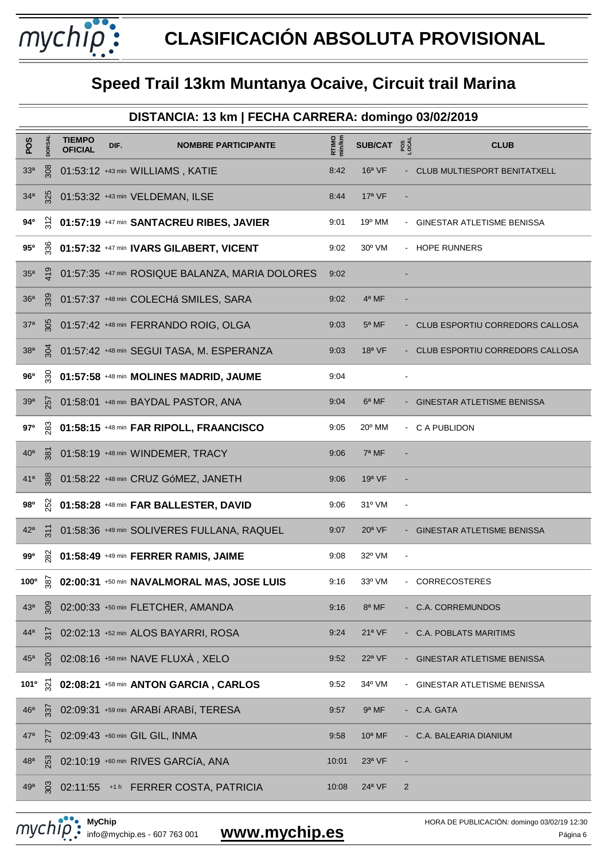mychip:

|                  | DISTANCIA: 13 km   FECHA CARRERA: domingo 03/02/2019 |                                 |      |                                                 |                        |                        |                |                                     |  |  |  |
|------------------|------------------------------------------------------|---------------------------------|------|-------------------------------------------------|------------------------|------------------------|----------------|-------------------------------------|--|--|--|
| POS              | <b>DORSAL</b>                                        | <b>TIEMPO</b><br><b>OFICIAL</b> | DIF. | <b>NOMBRE PARTICIPANTE</b>                      | <b>RTIMO</b><br>min/km | SUB/CAT $2\frac{8}{5}$ |                | <b>CLUB</b>                         |  |  |  |
| 33 <sup>a</sup>  | 308                                                  |                                 |      | 01:53:12 +43 min WILLIAMS, KATIE                | 8:42                   | $16a$ VF               |                | <b>CLUB MULTIESPORT BENITATXELL</b> |  |  |  |
| 34 <sup>a</sup>  | 325                                                  |                                 |      | 01:53:32 +43 min VELDEMAN, ILSE                 | 8:44                   | $17a$ VF               |                |                                     |  |  |  |
| 94°              | $\frac{2}{3}$                                        |                                 |      | 01:57:19 +47 min SANTACREU RIBES, JAVIER        | 9:01                   | 19º MM                 |                | GINESTAR ATLETISME BENISSA          |  |  |  |
| 95°              | 336                                                  |                                 |      | 01:57:32 +47 min IVARS GILABERT, VICENT         | 9:02                   | $30^{\circ}$ VM        |                | - HOPE RUNNERS                      |  |  |  |
| 35 <sup>a</sup>  | $\frac{6}{10}$                                       |                                 |      | 01:57:35 +47 min ROSIQUE BALANZA, MARIA DOLORES | 9:02                   |                        |                |                                     |  |  |  |
| 36 <sup>a</sup>  | 339                                                  |                                 |      | 01:57:37 +48 min COLECHá SMILES, SARA           | 9:02                   | 4ª MF                  |                |                                     |  |  |  |
| 37 <sup>a</sup>  | 305                                                  |                                 |      | 01:57:42 +48 min FERRANDO ROIG, OLGA            | 9:03                   | $5a$ MF                |                | - CLUB ESPORTIU CORREDORS CALLOSA   |  |  |  |
| 38 <sup>a</sup>  | ğ                                                    |                                 |      | 01:57:42 +48 min SEGUI TASA, M. ESPERANZA       | 9:03                   | $18a$ VF               |                | - CLUB ESPORTIU CORREDORS CALLOSA   |  |  |  |
| $96^{\circ}$     | 330                                                  |                                 |      | 01:57:58 +48 min MOLINES MADRID, JAUME          | 9:04                   |                        |                |                                     |  |  |  |
| 39 <sup>a</sup>  | 257                                                  |                                 |      | 01:58:01 +48 min BAYDAL PASTOR, ANA             | 9:04                   | $6a$ MF                |                | <b>GINESTAR ATLETISME BENISSA</b>   |  |  |  |
| 97°              | 283                                                  |                                 |      | 01:58:15 +48 min FAR RIPOLL, FRAANCISCO         | 9:05                   | 20° MM                 |                | - C A PUBLIDON                      |  |  |  |
| 40 <sup>a</sup>  | $\frac{1}{28}$                                       |                                 |      | 01:58:19 +48 min WINDEMER, TRACY                | 9:06                   | 7ª MF                  |                |                                     |  |  |  |
| 41 <sup>a</sup>  | 388                                                  |                                 |      | 01:58:22 +48 min CRUZ GóMEZ, JANETH             | 9:06                   | $19a$ VF               |                |                                     |  |  |  |
| 980              | 252                                                  |                                 |      | 01:58:28 +48 min FAR BALLESTER, DAVID           | 9:06                   | $31^{\circ}$ VM        |                |                                     |  |  |  |
| 42 <sup>a</sup>  | $\overline{311}$                                     |                                 |      | 01:58:36 +49 min SOLIVERES FULLANA, RAQUEL      | 9:07                   | $20a$ VF               |                | GINESTAR ATLETISME BENISSA          |  |  |  |
| 99°              | 282                                                  |                                 |      | 01:58:49 +49 min FERRER RAMIS, JAIME            | 9:08                   | $32^{\circ}$ VM        |                |                                     |  |  |  |
| 100°             | $\frac{1}{2}$                                        |                                 |      | 02:00:31 +50 min NAVALMORAL MAS, JOSE LUIS      | 9:16                   | 33º VM                 |                | <b>CORRECOSTERES</b>                |  |  |  |
| 43 <sup>a</sup>  | 508                                                  |                                 |      | 02:00:33 +50 min FLETCHER, AMANDA               | 9:16                   | 8ª MF                  |                | <b>C.A. CORREMUNDOS</b>             |  |  |  |
| 44 <sup>a</sup>  | 317                                                  |                                 |      | 02:02:13 +52 min ALOS BAYARRI, ROSA             | 9:24                   | 21 <sup>a</sup> VF     |                | <b>C.A. POBLATS MARITIMS</b>        |  |  |  |
| 45 <sup>a</sup>  | 320                                                  |                                 |      | 02:08:16 +58 min NAVE FLUXÀ, XELO               | 9:52                   | $22a$ VF               |                | <b>GINESTAR ATLETISME BENISSA</b>   |  |  |  |
| 101 <sup>o</sup> | $\tilde{\mathcal{Z}}$                                |                                 |      | 02:08:21 +58 min ANTON GARCIA, CARLOS           | 9:52                   | 34° VM                 |                | GINESTAR ATLETISME BENISSA          |  |  |  |
| 46 <sup>a</sup>  | 337                                                  |                                 |      | 02:09:31 +59 min ARABí ARABí, TERESA            | 9:57                   | 9ª MF                  |                | C.A. GATA                           |  |  |  |
| 47 <sup>a</sup>  | 277                                                  |                                 |      | 02:09:43 +60 min GIL GIL, INMA                  | 9:58                   | $10a$ MF               |                | C.A. BALEARIA DIANIUM               |  |  |  |
| 48 <sup>a</sup>  | <b>253</b>                                           |                                 |      | 02:10:19 +60 min RIVES GARCÍA, ANA              | 10:01                  | $23a$ VF               |                |                                     |  |  |  |
| 49 <sup>a</sup>  | 303                                                  |                                 |      | 02:11:55 +1h FERRER COSTA, PATRICIA             | 10:08                  | 24 <sup>a</sup> VF     | $\overline{2}$ |                                     |  |  |  |

**MyChip** MyChip<br>
info@mychip.es - 607 763 001